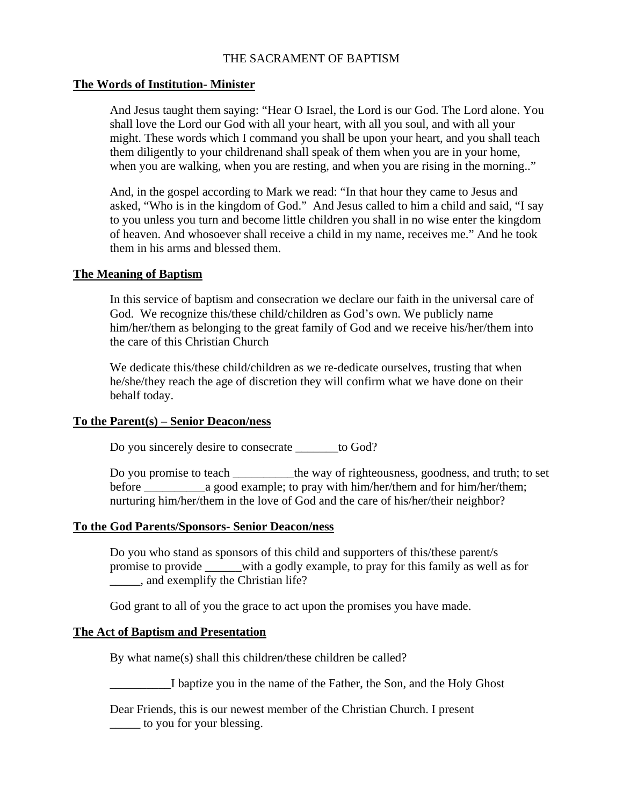# THE SACRAMENT OF BAPTISM

### **The Words of Institution- Minister**

And Jesus taught them saying: "Hear O Israel, the Lord is our God. The Lord alone. You shall love the Lord our God with all your heart, with all you soul, and with all your might. These words which I command you shall be upon your heart, and you shall teach them diligently to your childrenand shall speak of them when you are in your home, when you are walking, when you are resting, and when you are rising in the morning.."

And, in the gospel according to Mark we read: "In that hour they came to Jesus and asked, "Who is in the kingdom of God." And Jesus called to him a child and said, "I say to you unless you turn and become little children you shall in no wise enter the kingdom of heaven. And whosoever shall receive a child in my name, receives me." And he took them in his arms and blessed them.

### **The Meaning of Baptism**

In this service of baptism and consecration we declare our faith in the universal care of God. We recognize this/these child/children as God's own. We publicly name him/her/them as belonging to the great family of God and we receive his/her/them into the care of this Christian Church

We dedicate this/these child/children as we re-dedicate ourselves, trusting that when he/she/they reach the age of discretion they will confirm what we have done on their behalf today.

# **To the Parent(s) – Senior Deacon/ness**

Do you sincerely desire to consecrate \_\_\_\_\_\_\_to God?

Do you promise to teach \_\_\_\_\_\_\_\_\_the way of righteousness, goodness, and truth; to set before \_\_\_\_\_\_\_\_\_\_a good example; to pray with him/her/them and for him/her/them; nurturing him/her/them in the love of God and the care of his/her/their neighbor?

#### **To the God Parents/Sponsors- Senior Deacon/ness**

Do you who stand as sponsors of this child and supporters of this/these parent/s promise to provide \_\_\_\_\_\_with a godly example, to pray for this family as well as for  $\_\_\_\$ , and exemplify the Christian life?

God grant to all of you the grace to act upon the promises you have made.

# **The Act of Baptism and Presentation**

By what name(s) shall this children/these children be called?

\_\_\_\_\_\_\_\_\_\_I baptize you in the name of the Father, the Son, and the Holy Ghost

Dear Friends, this is our newest member of the Christian Church. I present to you for your blessing.